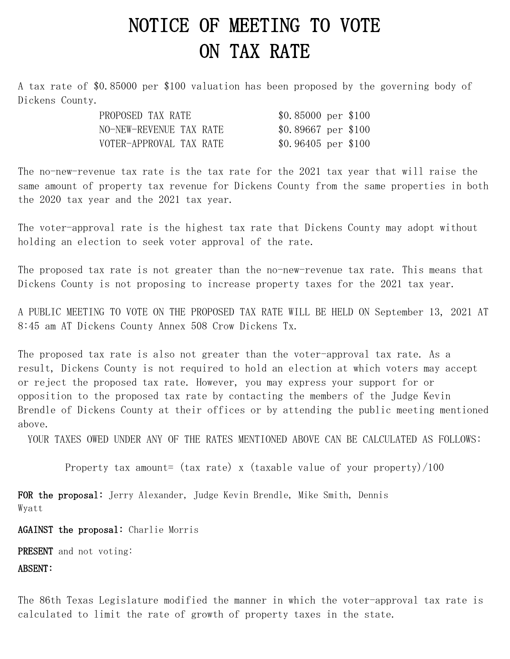## NOTICE OF MEETING TO VOTE ON TAX RATE

A tax rate of \$0.85000 per \$100 valuation has been proposed by the governing body of Dickens County.

| PROPOSED TAX RATE       | $$0.85000 \text{ per } $100$ |  |
|-------------------------|------------------------------|--|
| NO-NEW-REVENUE TAX RATE | $$0.89667$ per $$100$        |  |
| VOTER-APPROVAL TAX RATE | $$0.96405$ per $$100$        |  |

The no-new-revenue tax rate is the tax rate for the 2021 tax year that will raise the same amount of property tax revenue for Dickens County from the same properties in both the 2020 tax year and the 2021 tax year.

The voter-approval rate is the highest tax rate that Dickens County may adopt without holding an election to seek voter approval of the rate.

The proposed tax rate is not greater than the no-new-revenue tax rate. This means that Dickens County is not proposing to increase property taxes for the 2021 tax year.

A PUBLIC MEETING TO VOTE ON THE PROPOSED TAX RATE WILL BE HELD ON September 13, 2021 AT 8:45 am AT Dickens County Annex 508 Crow Dickens Tx.

The proposed tax rate is also not greater than the voter-approval tax rate. As a result, Dickens County is not required to hold an election at which voters may accept or reject the proposed tax rate. However, you may express your support for or opposition to the proposed tax rate by contacting the members of the Judge Kevin Brendle of Dickens County at their offices or by attending the public meeting mentioned above.

YOUR TAXES OWED UNDER ANY OF THE RATES MENTIONED ABOVE CAN BE CALCULATED AS FOLLOWS:

Property tax amount= (tax rate) x (taxable value of your property)/100

FOR the proposal: Jerry Alexander, Judge Kevin Brendle, Mike Smith, Dennis Wyatt

AGAINST the proposal: Charlie Morris

PRESENT and not voting:

ABSENT:

The 86th Texas Legislature modified the manner in which the voter-approval tax rate is calculated to limit the rate of growth of property taxes in the state.